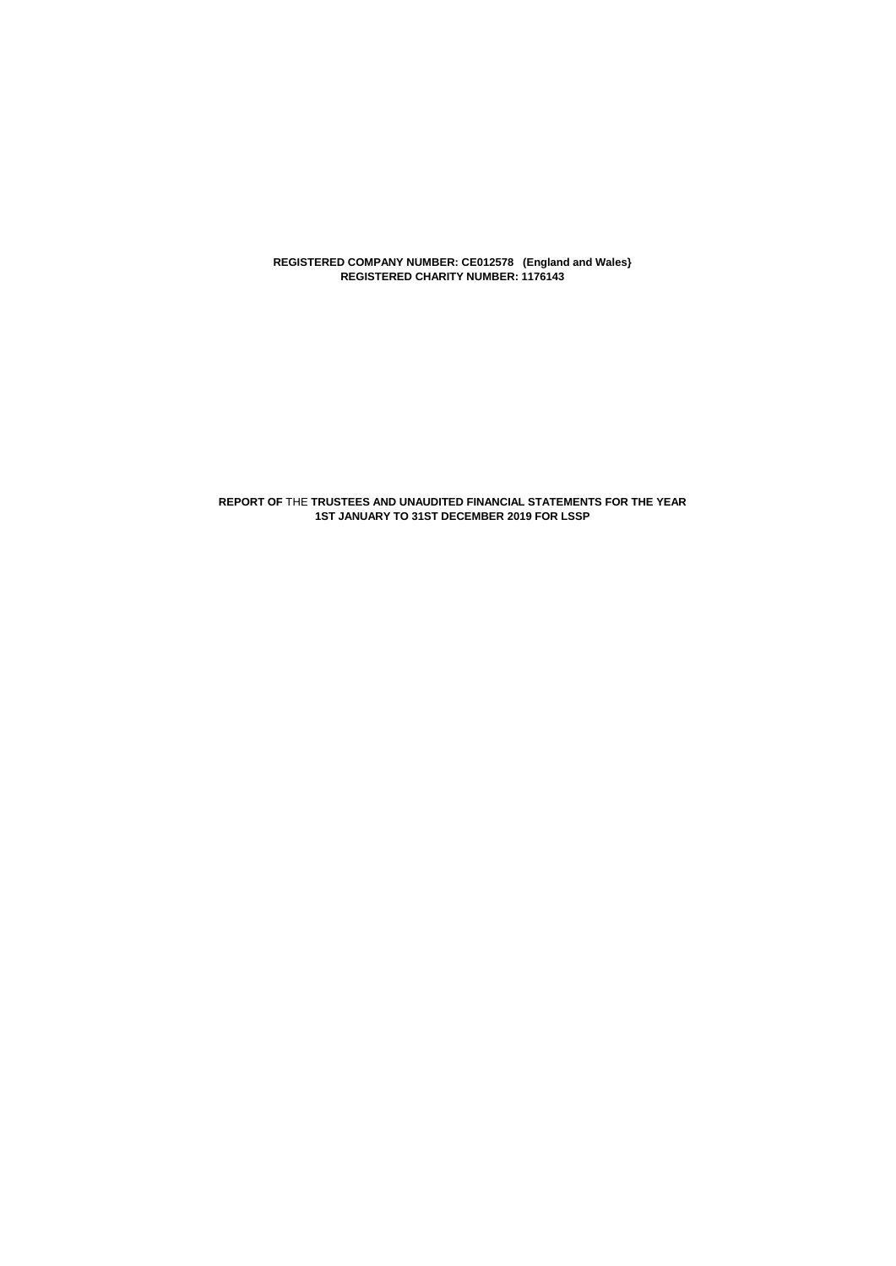**REGISTERED COMPANY NUMBER: CE012578 (England and Wales} REGISTERED CHARITY NUMBER: 1176143**

**REPORT OF** THE **TRUSTEES AND UNAUDITED FINANCIAL STATEMENTS FOR THE YEAR 1ST JANUARY TO 31ST DECEMBER 2019 FOR LSSP**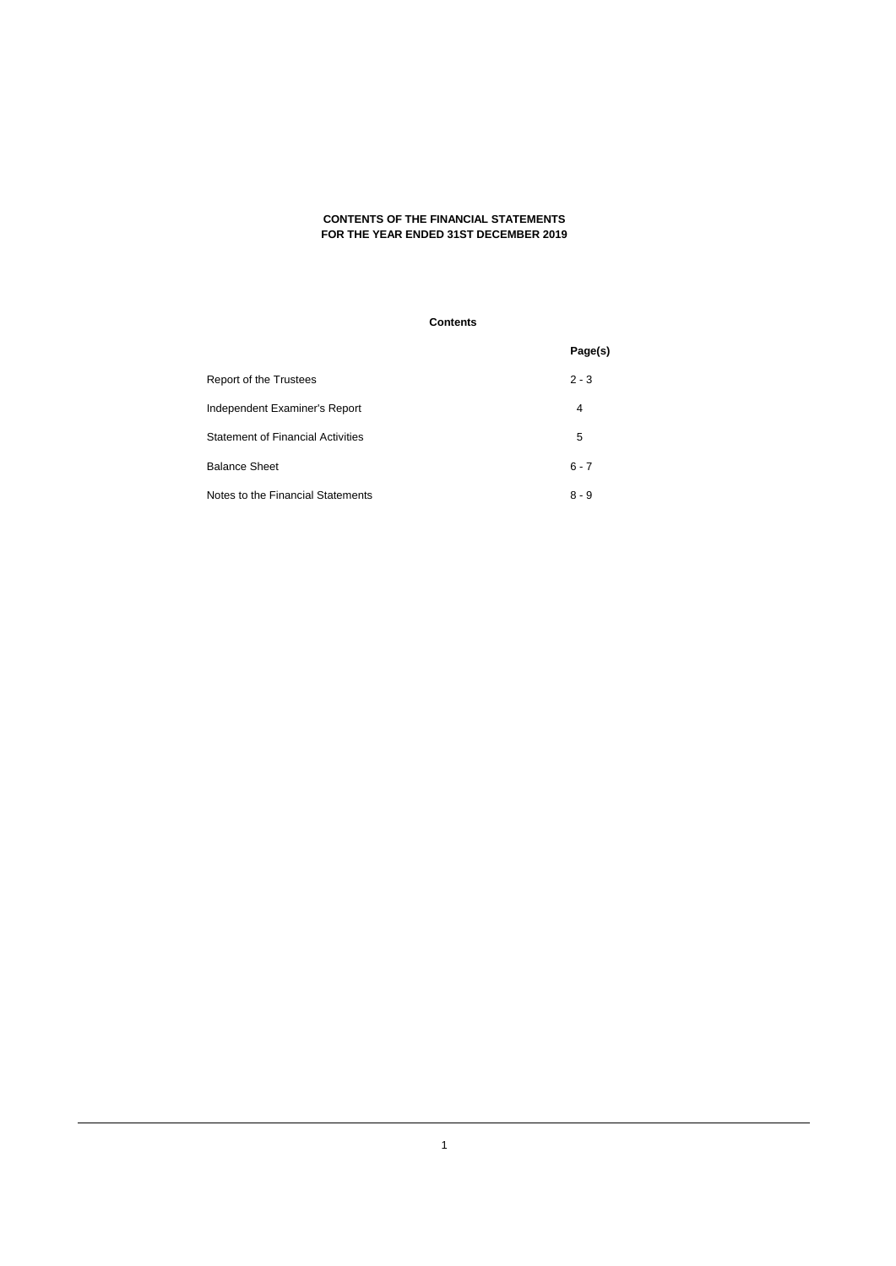## **CONTENTS OF THE FINANCIAL STATEMENTS FOR THE YEAR ENDED 31ST DECEMBER 2019**

## **Contents**

|                                          | Page(s) |
|------------------------------------------|---------|
| Report of the Trustees                   | $2 - 3$ |
| Independent Examiner's Report            | 4       |
| <b>Statement of Financial Activities</b> | 5       |
| <b>Balance Sheet</b>                     | $6 - 7$ |
| Notes to the Financial Statements        | $8 - 9$ |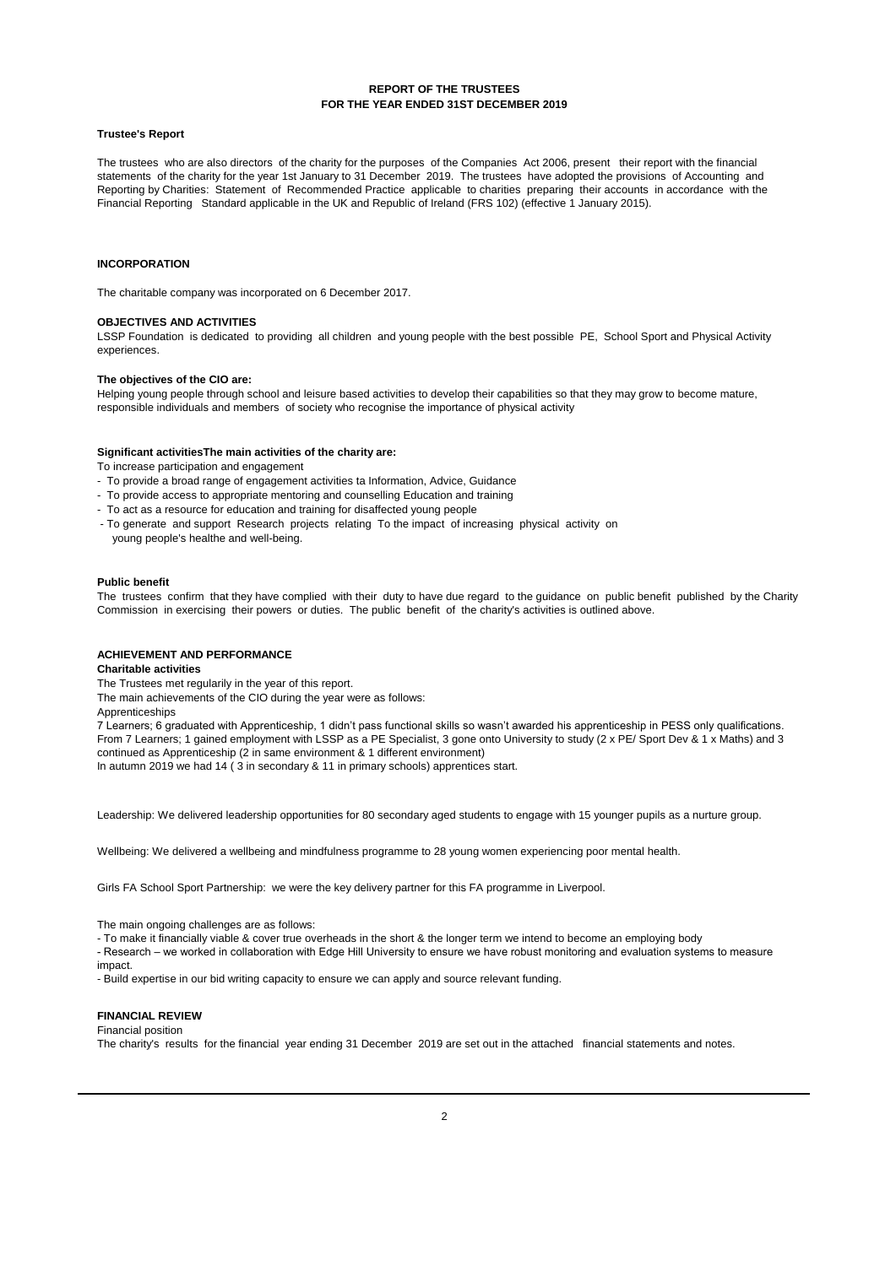### **REPORT OF THE TRUSTEES FOR THE YEAR ENDED 31ST DECEMBER 2019**

#### **Trustee's Report**

The trustees who are also directors of the charity for the purposes of the Companies Act 2006, present their report with the financial statements of the charity for the year 1st January to 31 December 2019. The trustees have adopted the provisions of Accounting and Reporting by Charities: Statement of Recommended Practice applicable to charities preparing their accounts in accordance with the Financial Reporting Standard applicable in the UK and Republic of Ireland (FRS 102) (effective 1 January 2015).

### **INCORPORATION**

The charitable company was incorporated on 6 December 2017.

### **OBJECTIVES AND ACTIVITIES**

LSSP Foundation is dedicated to providing all children and young people with the best possible PE, School Sport and Physical Activity experiences.

#### **The objectives of the CIO are:**

Helping young people through school and leisure based activities to develop their capabilities so that they may grow to become mature, responsible individuals and members of society who recognise the importance of physical activity

#### **Significant activities The main activities of the charity are:**

To increase participation and engagement

- To provide a broad range of engagement activities ta Information, Advice, Guidance
- To provide access to appropriate mentoring and counselling Education and training
- To act as a resource for education and training for disaffected young people
- To generate and support Research projects relating To the impact of increasing physical activity on young people's healthe and well-being.

#### **Public benefit**

The trustees confirm that they have complied with their duty to have due regard to the guidance on public benefit published by the Charity Commission in exercising their powers or duties. The public benefit of the charity's activities is outlined above.

### **ACHIEVEMENT AND PERFORMANCE**

#### **Charitable activities**

The Trustees met regularily in the year of this report.

The main achievements of the CIO during the year were as follows:

### Apprenticeships

7 Learners; 6 graduated with Apprenticeship, 1 didn't pass functional skills so wasn't awarded his apprenticeship in PESS only qualifications. From 7 Learners; 1 gained employment with LSSP as a PE Specialist, 3 gone onto University to study (2 x PE/ Sport Dev & 1 x Maths) and 3 continued as Apprenticeship (2 in same environment & 1 different environment)

In autumn 2019 we had 14 ( 3 in secondary & 11 in primary schools) apprentices start.

Leadership: We delivered leadership opportunities for 80 secondary aged students to engage with 15 younger pupils as a nurture group.

Wellbeing: We delivered a wellbeing and mindfulness programme to 28 young women experiencing poor mental health.

Girls FA School Sport Partnership: we were the key delivery partner for this FA programme in Liverpool.

The main ongoing challenges are as follows:

- To make it financially viable & cover true overheads in the short & the longer term we intend to become an employing body

- Research – we worked in collaboration with Edge Hill University to ensure we have robust monitoring and evaluation systems to measure impact.

- Build expertise in our bid writing capacity to ensure we can apply and source relevant funding.

#### **FINANCIAL REVIEW** Financial position

The charity's results for the financial year ending 31 December 2019 are set out in the attached financial statements and notes.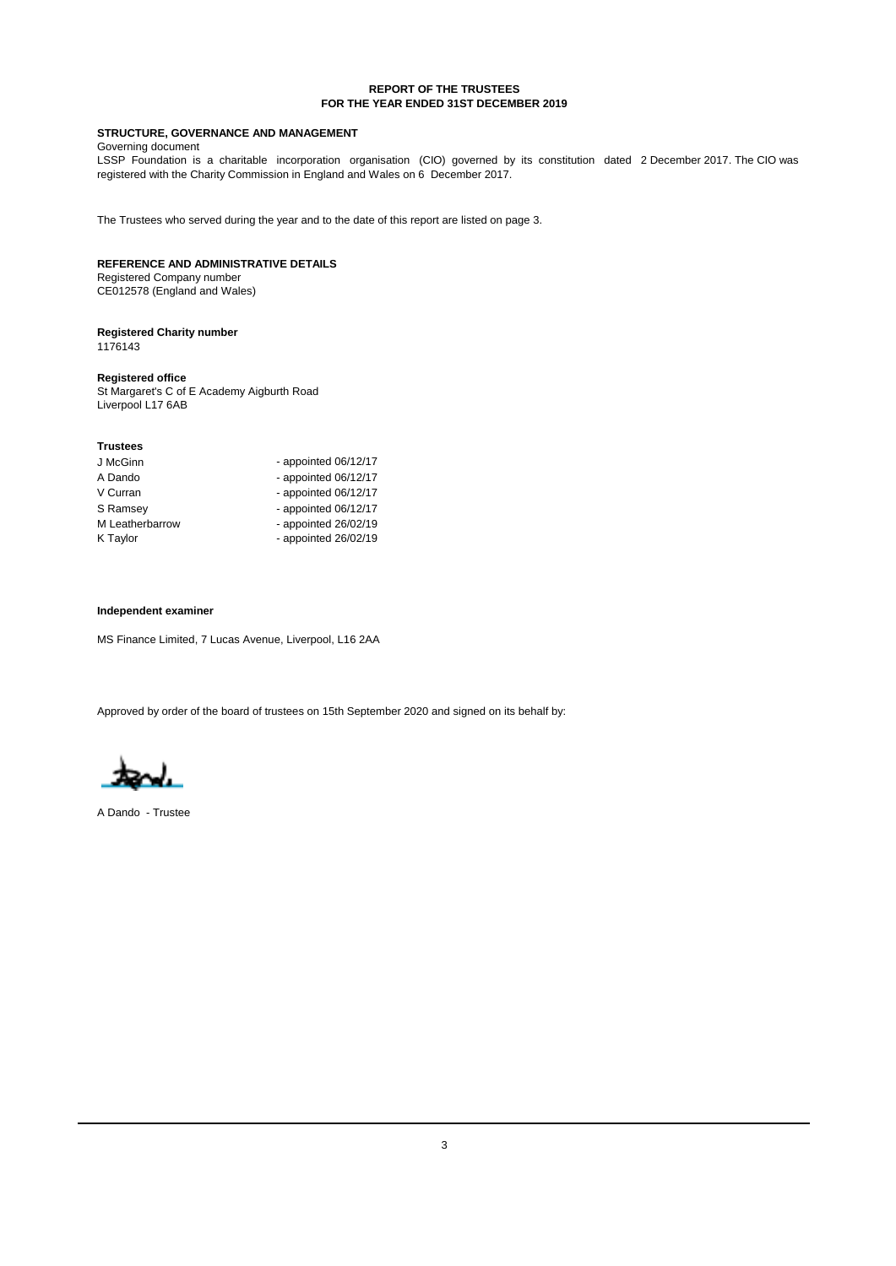### **REPORT OF THE TRUSTEES FOR THE YEAR ENDED 31ST DECEMBER 2019**

## **STRUCTURE, GOVERNANCE AND MANAGEMENT**

Governing document

LSSP Foundation is a charitable incorporation organisation (CIO) governed by its constitution dated 2 December 2017. The CIO was registered with the Charity Commission in England and Wales on 6 December 2017.

The Trustees who served during the year and to the date of this report are listed on page 3.

## **REFERENCE AND ADMINISTRATIVE DETAILS**

Registered Company number CE012578 (England and Wales)

#### **Registered Charity number** 1176143

## **Registered office**

St Margaret's C of E Academy Aigburth Road Liverpool L17 6AB

| J McGinn        | - appointed $06/12/17$ |
|-----------------|------------------------|
| A Dando         | - appointed $06/12/17$ |
| V Curran        | - appointed $06/12/17$ |
| S Ramsey        | - appointed $06/12/17$ |
| M Leatherbarrow | - appointed $26/02/19$ |
| K Taylor        | - appointed $26/02/19$ |

#### **Independent examiner**

MS Finance Limited, 7 Lucas Avenue, Liverpool, L16 2AA

Approved by order of the board of trustees on 15th September 2020 and signed on its behalf by:

A Dando - Trustee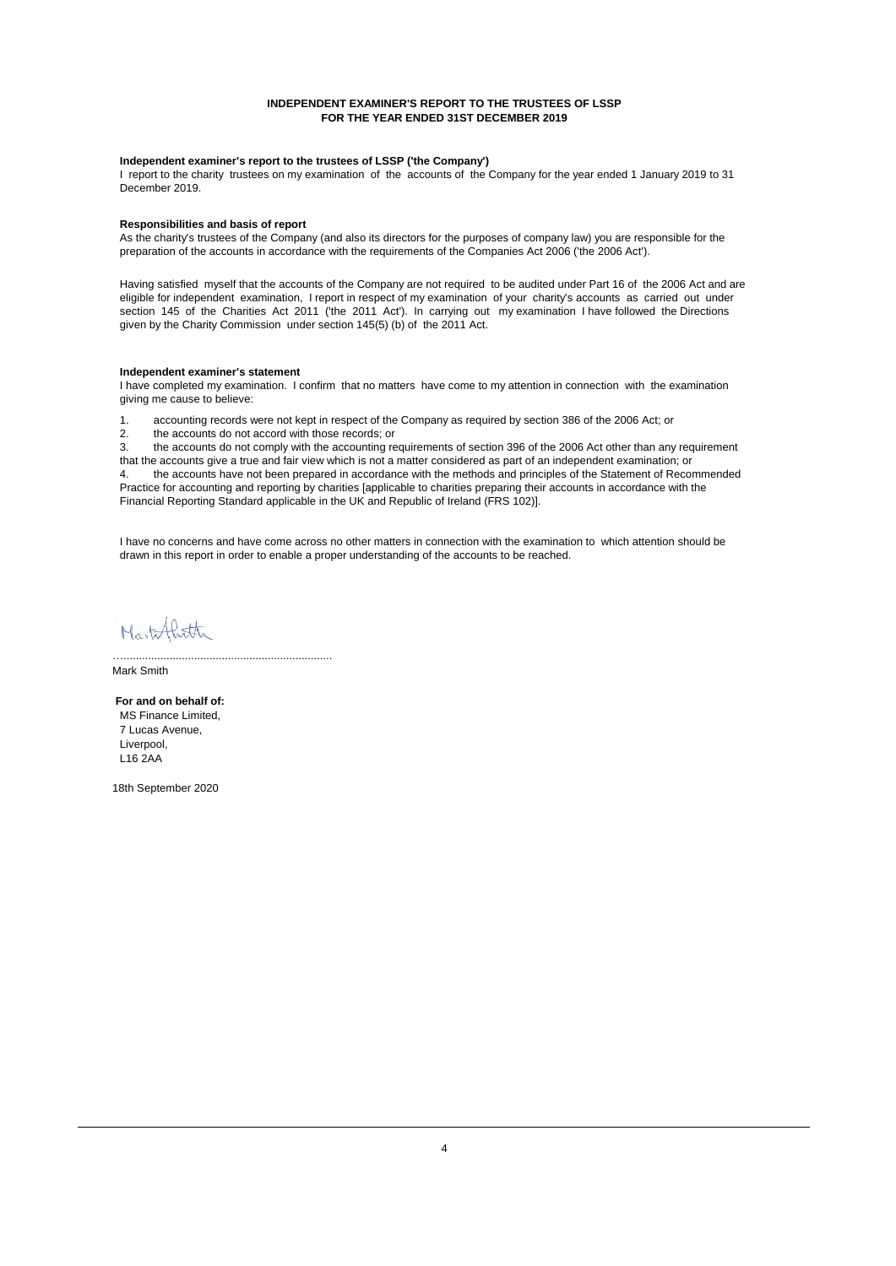### **INDEPENDENT EXAMINER'S REPORT TO THE TRUSTEES OF LSSP FOR THE YEAR ENDED 31ST DECEMBER 2019**

### **Independent examiner's report to the trustees of LSSP ('the Company')**

I report to the charity trustees on my examination of the accounts of the Company for the year ended 1 January 2019 to 31 December 2019.

### **Responsibilities and basis of report**

As the charity's trustees of the Company (and also its directors for the purposes of company law) you are responsible for the preparation of the accounts in accordance with the requirements of the Companies Act 2006 ('the 2006 Act').

Having satisfied myself that the accounts of the Company are not required to be audited under Part 16 of the 2006 Act and are eligible for independent examination, I report in respect of my examination of your charity's accounts as carried out under section 145 of the Charities Act 2011 ('the 2011 Act'). In carrying out my examination I have followed the Directions given by the Charity Commission under section 145(5) (b) of the 2011 Act.

#### **Independent examiner's statement**

I have completed my examination. I confirm that no matters have come to my attention in connection with the examination giving me cause to believe:

1. accounting records were not kept in respect of the Company as required by section 386 of the 2006 Act; or

the accounts do not accord with those records; or

3. the accounts do not comply with the accounting requirements of section 396 of the 2006 Act other than any requirement that the accounts give a true and fair view which is not a matter considered as part of an independent examination; or 4. the accounts have not been prepared in accordance with the methods and principles of the Statement of Recommended Practice for accounting and reporting by charities [applicable to charities preparing their accounts in accordance with the Financial Reporting Standard applicable in the UK and Republic of Ireland (FRS 102)].

I have no concerns and have come across no other matters in connection with the examination to which attention should be drawn in this report in order to enable a proper understanding of the accounts to be reached.

Markflitte

…....................................................................

Mark Smith

 **For and on behalf of:** Liverpool. L16 2AA 7 Lucas Avenue, MS Finance Limited,

18th September 2020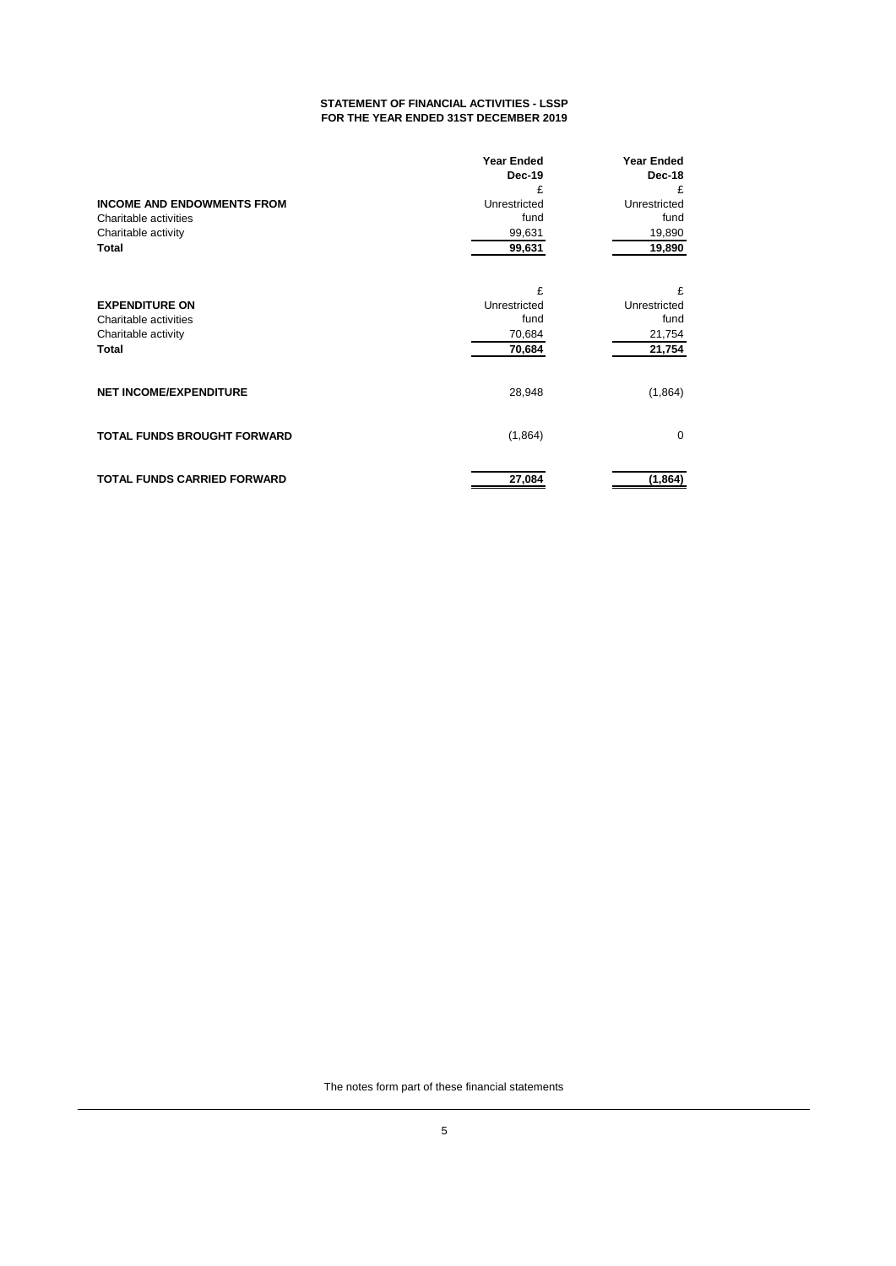### **STATEMENT OF FINANCIAL ACTIVITIES - LSSP FOR THE YEAR ENDED 31ST DECEMBER 2019**

|                                    | <b>Year Ended</b> | <b>Year Ended</b> |
|------------------------------------|-------------------|-------------------|
|                                    | Dec-19            | Dec-18            |
|                                    | £                 | £                 |
| <b>INCOME AND ENDOWMENTS FROM</b>  | Unrestricted      | Unrestricted      |
| Charitable activities              | fund              | fund              |
| Charitable activity                | 99,631            | 19,890            |
| Total                              | 99,631            | 19,890            |
|                                    |                   |                   |
|                                    | £                 | £                 |
| <b>EXPENDITURE ON</b>              | Unrestricted      | Unrestricted      |
| Charitable activities              | fund              | fund              |
| Charitable activity                | 70,684            | 21,754            |
| Total                              | 70,684            | 21,754            |
| <b>NET INCOME/EXPENDITURE</b>      | 28,948            | (1,864)           |
| TOTAL FUNDS BROUGHT FORWARD        | (1,864)           | $\mathbf 0$       |
| <b>TOTAL FUNDS CARRIED FORWARD</b> | 27,084            | (1, 864)          |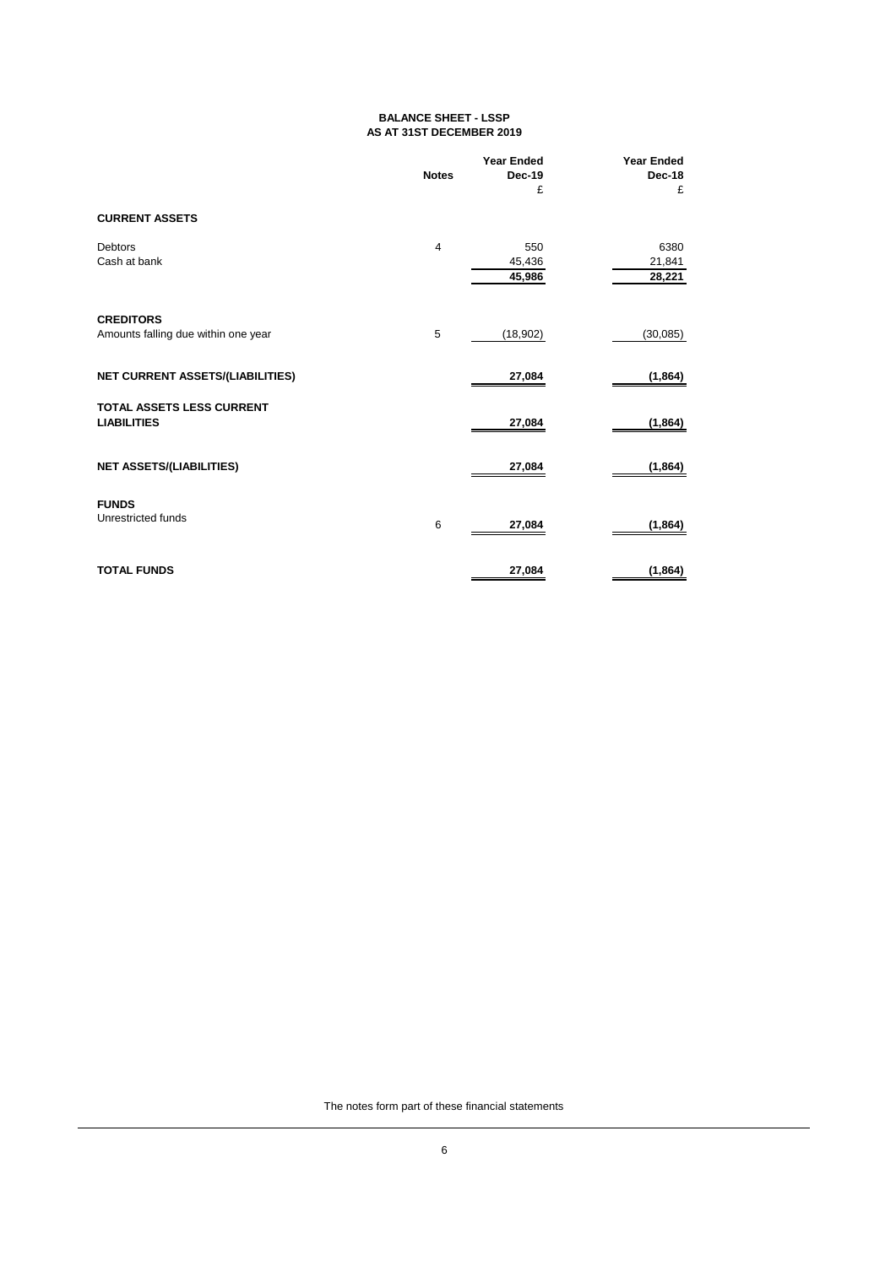## **BALANCE SHEET - LSSP AS AT 31ST DECEMBER 2019**

|                                                         | <b>Notes</b>   | <b>Year Ended</b><br>Dec-19<br>£ | <b>Year Ended</b><br><b>Dec-18</b><br>£ |
|---------------------------------------------------------|----------------|----------------------------------|-----------------------------------------|
| <b>CURRENT ASSETS</b>                                   |                |                                  |                                         |
| <b>Debtors</b><br>Cash at bank                          | $\overline{4}$ | 550<br>45,436<br>45,986          | 6380<br>21,841<br>28,221                |
| <b>CREDITORS</b><br>Amounts falling due within one year | 5              | (18, 902)                        | (30,085)                                |
| <b>NET CURRENT ASSETS/(LIABILITIES)</b>                 |                | 27,084                           | (1, 864)                                |
| <b>TOTAL ASSETS LESS CURRENT</b><br><b>LIABILITIES</b>  |                | 27,084                           | (1, 864)                                |
| <b>NET ASSETS/(LIABILITIES)</b>                         |                | 27,084                           | (1, 864)                                |
| <b>FUNDS</b><br>Unrestricted funds                      | 6              | 27,084                           | (1,864)                                 |
| <b>TOTAL FUNDS</b>                                      |                | 27,084                           | (1,864)                                 |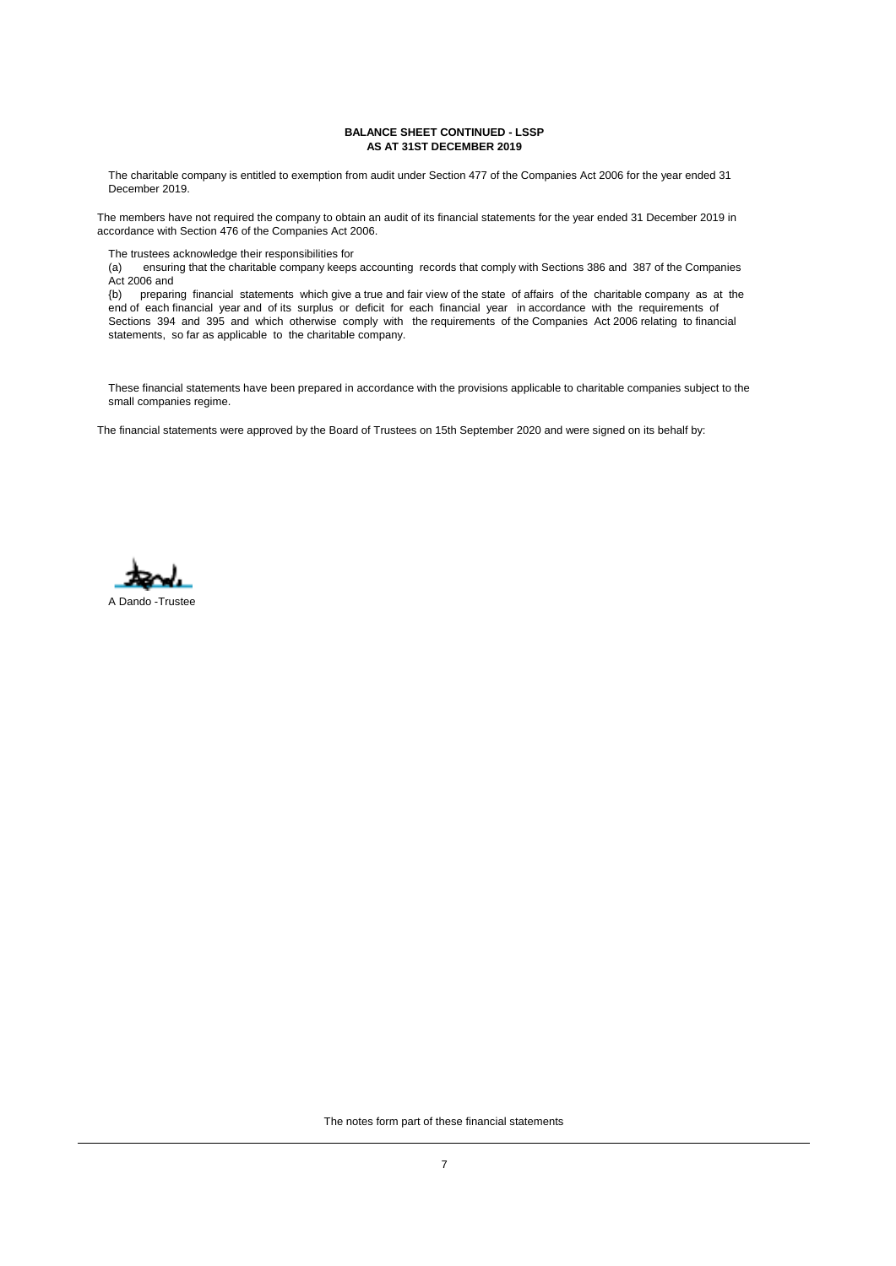### **BALANCE SHEET CONTINUED - LSSP AS AT 31ST DECEMBER 2019**

The charitable company is entitled to exemption from audit under Section 477 of the Companies Act 2006 for the year ended 31 December 2019.

The members have not required the company to obtain an audit of its financial statements for the year ended 31 December 2019 in accordance with Section 476 of the Companies Act 2006.

The trustees acknowledge their responsibilities for

(a) ensuring that the charitable company keeps accounting records that comply with Sections 386 and 387 of the Companies Act 2006 and

{b) preparing financial statements which give a true and fair view of the state of affairs of the charitable company as at the end of each financial year and of its surplus or deficit for each financial year in accordance with the requirements of Sections 394 and 395 and which otherwise comply with the requirements of the Companies Act 2006 relating to financial statements, so far as applicable to the charitable company.

These financial statements have been prepared in accordance with the provisions applicable to charitable companies subject to the small companies regime.

The financial statements were approved by the Board of Trustees on 15th September 2020 and were signed on its behalf by:

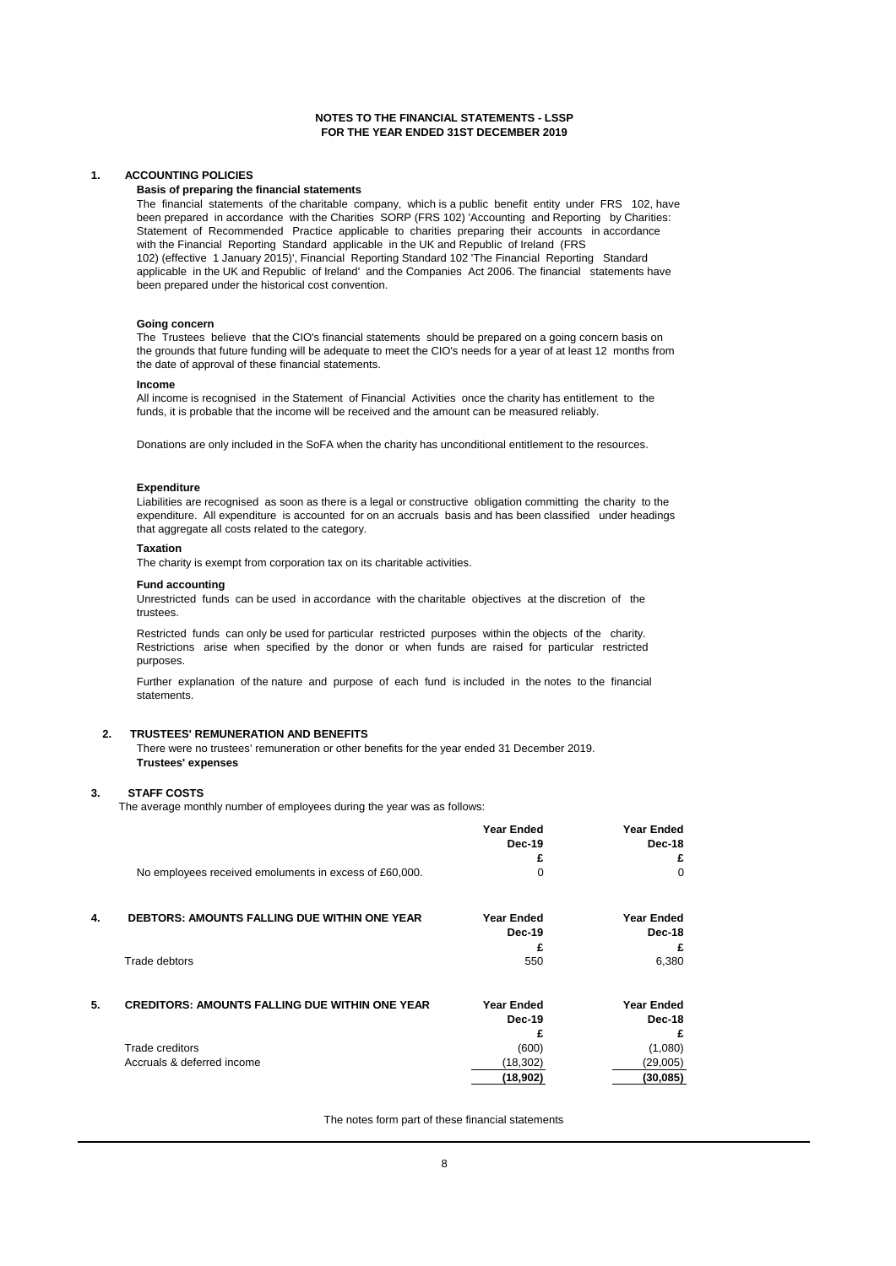### **NOTES TO THE FINANCIAL STATEMENTS - LSSP FOR THE YEAR ENDED 31ST DECEMBER 2019**

### **1. ACCOUNTING POLICIES**

### **Basis of preparing the financial statements**

The financial statements of the charitable company, which is a public benefit entity under FRS 102, have been prepared in accordance with the Charities SORP (FRS 102) 'Accounting and Reporting by Charities: Statement of Recommended Practice applicable to charities preparing their accounts in accordance with the Financial Reporting Standard applicable in the UK and Republic of Ireland (FRS 102) (effective 1 January 2015)', Financial Reporting Standard 102 'The Financial Reporting Standard applicable in the UK and Republic of Ireland' and the Companies Act 2006. The financial statements have been prepared under the historical cost convention.

#### **Going concern**

The Trustees believe that the CIO's financial statements should be prepared on a going concern basis on the grounds that future funding will be adequate to meet the CIO's needs for a year of at least 12 months from the date of approval of these financial statements.

#### **Income**

All income is recognised in the Statement of Financial Activities once the charity has entitlement to the funds, it is probable that the income will be received and the amount can be measured reliably.

Donations are only included in the SoFA when the charity has unconditional entitlement to the resources.

#### **Expenditure**

Liabilities are recognised as soon as there is a legal or constructive obligation committing the charity to the expenditure. All expenditure is accounted for on an accruals basis and has been classified under headings that aggregate all costs related to the category.

#### **Taxation**

The charity is exempt from corporation tax on its charitable activities.

#### **Fund accounting**

Unrestricted funds can be used in accordance with the charitable objectives at the discretion of the trustees.

Restricted funds can only be used for particular restricted purposes within the objects of the charity. Restrictions arise when specified by the donor or when funds are raised for particular restricted purposes.

Further explanation of the nature and purpose of each fund is included in the notes to the financial statements.

### **2. TRUSTEES' REMUNERATION AND BENEFITS**

There were no trustees' remuneration or other benefits for the year ended 31 December 2019. **Trustees' expenses**

#### **3. STAFF COSTS**

The average monthly number of employees during the year was as follows:

|    |                                                        | <b>Year Ended</b><br>Dec-19 | <b>Year Ended</b><br>Dec-18 |
|----|--------------------------------------------------------|-----------------------------|-----------------------------|
|    |                                                        | £                           | £                           |
|    | No employees received emoluments in excess of £60,000. | 0                           | 0                           |
| 4. | <b>DEBTORS: AMOUNTS FALLING DUE WITHIN ONE YEAR</b>    | <b>Year Ended</b>           | <b>Year Ended</b>           |
|    |                                                        | Dec-19                      | Dec-18                      |
|    |                                                        | £                           | £                           |
|    | Trade debtors                                          | 550                         | 6,380                       |
| 5. | <b>CREDITORS: AMOUNTS FALLING DUE WITHIN ONE YEAR</b>  | <b>Year Ended</b>           | <b>Year Ended</b>           |
|    |                                                        | Dec-19                      | Dec-18                      |
|    |                                                        | £                           | £                           |
|    | Trade creditors                                        | (600)                       | (1,080)                     |
|    | Accruals & deferred income                             | (18, 302)                   | (29,005)                    |
|    |                                                        | (18,902)                    | (30, 085)                   |